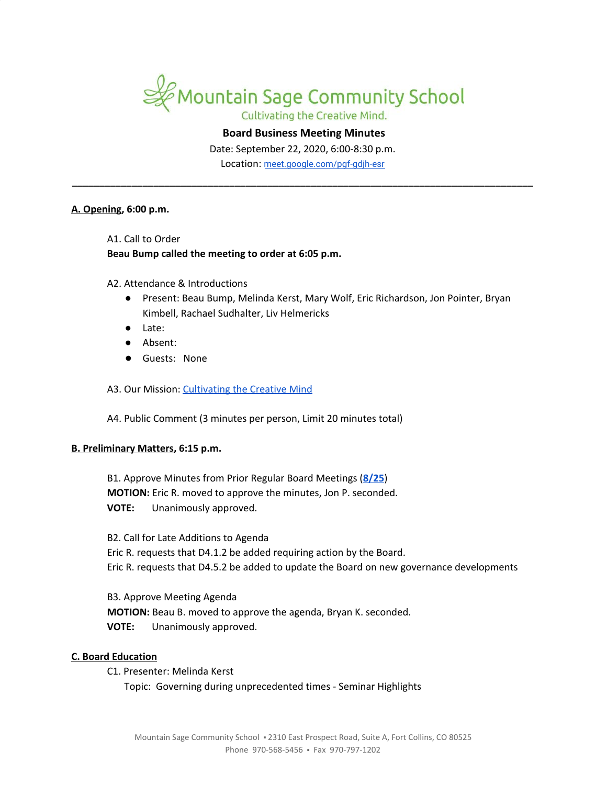

Cultivating the Creative Mind.

# **Board Business Meeting Minutes**

Date: September 22, 2020, 6:00-8:30 p.m. Location: [meet.google.com/pgf-gdjh-esr](http://meet.google.com/pgf-gdjh-esr)

**\_\_\_\_\_\_\_\_\_\_\_\_\_\_\_\_\_\_\_\_\_\_\_\_\_\_\_\_\_\_\_\_\_\_\_\_\_\_\_\_\_\_\_\_\_\_\_\_\_\_\_\_\_\_\_\_\_\_\_\_\_\_\_\_\_\_\_\_\_\_\_\_\_\_\_\_\_\_\_\_\_\_\_\_\_**

# **A. Opening, 6:00 p.m.**

A1. Call to Order

# **Beau Bump called the meeting to order at 6:05 p.m.**

A2. Attendance & Introductions

- Present: Beau Bump, Melinda Kerst, Mary Wolf, Eric Richardson, Jon Pointer, Bryan Kimbell, Rachael Sudhalter, Liv Helmericks
- Late:
- Absent:
- Guests: None

A3. Our Mission: [Cultivating](https://www.mountainsage.org/about-us/mission-and-vision/) the Creative Mind

A4. Public Comment (3 minutes per person, Limit 20 minutes total)

## **B. Preliminary Matters, 6:15 p.m.**

B1. Approve Minutes from Prior Regular Board Meetings (**[8/25](https://docs.google.com/document/d/14F3SqXs-TaoUA5pHmSBb4KZL1WUBrqr9cbKTwXkMCfs)**) **MOTION:** Eric R. moved to approve the minutes, Jon P. seconded. **VOTE:** Unanimously approved.

B2. Call for Late Additions to Agenda

Eric R. requests that D4.1.2 be added requiring action by the Board. Eric R. requests that D4.5.2 be added to update the Board on new governance developments

B3. Approve Meeting Agenda **MOTION:** Beau B. moved to approve the agenda, Bryan K. seconded. **VOTE:** Unanimously approved.

## **C. Board Education**

C1. Presenter: Melinda Kerst Topic: Governing during unprecedented times - Seminar Highlights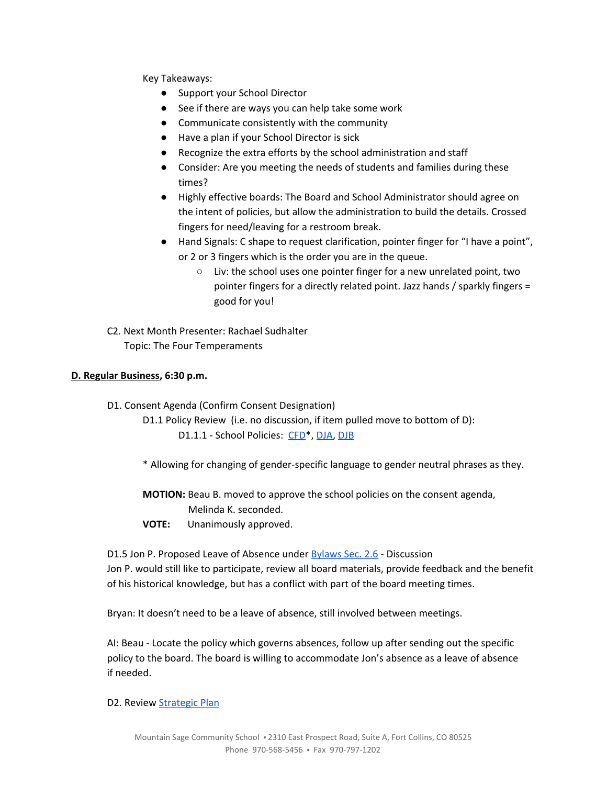Key Takeaways:

- Support your School Director
- See if there are ways you can help take some work
- Communicate consistently with the community
- Have a plan if your School Director is sick
- Recognize the extra efforts by the school administration and staff
- Consider: Are you meeting the needs of students and families during these times?
- Highly effective boards: The Board and School Administrator should agree on the intent of policies, but allow the administration to build the details. Crossed fingers for need/leaving for a restroom break.
- Hand Signals: C shape to request clarification, pointer finger for "I have a point", or 2 or 3 fingers which is the order you are in the queue.
	- Liv: the school uses one pointer finger for a new unrelated point, two pointer fingers for a directly related point. Jazz hands / sparkly fingers = good for you!
- C2. Next Month Presenter: Rachael Sudhalter Topic: The Four Temperaments

# **D. Regular Business, 6:30 p.m.**

- D1. Consent Agenda (Confirm Consent Designation)
	- D1.1 Policy Review (i.e. no discussion, if item pulled move to bottom of D): D1.1.1 - School Policies: [CFD](https://drive.google.com/open?id=1pmw9tX3WnFFmGuxgkjZ-Bmnv9B-qH_WDH1cjkRhDlqc)<sup>\*</sup>, [DJA,](https://drive.google.com/open?id=1oNPkij6QxnnLRpaLnsPPV7DWoyXqQcGe_oM_2CjkPSg) [DJB](https://drive.google.com/open?id=11I7KnqlJ6R5EJmYRfi3xjFpkdvCUzZPihKCKHFzdwsg)
	- \* Allowing for changing of gender-specific language to gender neutral phrases as they.

**MOTION:** Beau B. moved to approve the school policies on the consent agenda, Melinda K. seconded.

**VOTE:** Unanimously approved.

D1.5 Jon P. Proposed Leave of Absence under [Bylaws](https://drive.google.com/file/d/16Wt9SrvUfMq2Aq9MhoAX2P8g8MkojOUd/view?usp=sharing) Sec. 2.6 - Discussion Jon P. would still like to participate, review all board materials, provide feedback and the benefit of his historical knowledge, but has a conflict with part of the board meeting times.

Bryan: It doesn't need to be a leave of absence, still involved between meetings.

AI: Beau - Locate the policy which governs absences, follow up after sending out the specific policy to the board. The board is willing to accommodate Jon's absence as a leave of absence if needed.

## D2. Review **[Strategic](https://docs.google.com/spreadsheets/d/1ZcsDhIjaJBoVOI2OMPaYkghgZi_yR7rn31ELgbvqf3E/view) Plan**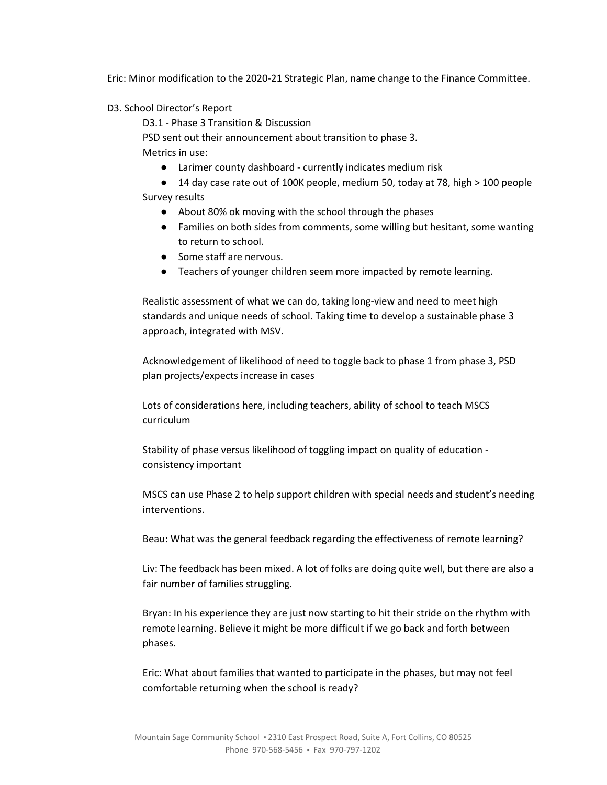Eric: Minor modification to the 2020-21 Strategic Plan, name change to the Finance Committee.

D3. School Director's Report

D3.1 - Phase 3 Transition & Discussion PSD sent out their announcement about transition to phase 3. Metrics in use:

- Larimer county dashboard currently indicates medium risk
- 14 day case rate out of 100K people, medium 50, today at 78, high > 100 people

Survey results

- About 80% ok moving with the school through the phases
- Families on both sides from comments, some willing but hesitant, some wanting to return to school.
- Some staff are nervous.
- Teachers of younger children seem more impacted by remote learning.

Realistic assessment of what we can do, taking long-view and need to meet high standards and unique needs of school. Taking time to develop a sustainable phase 3 approach, integrated with MSV.

Acknowledgement of likelihood of need to toggle back to phase 1 from phase 3, PSD plan projects/expects increase in cases

Lots of considerations here, including teachers, ability of school to teach MSCS curriculum

Stability of phase versus likelihood of toggling impact on quality of education consistency important

MSCS can use Phase 2 to help support children with special needs and student's needing interventions.

Beau: What was the general feedback regarding the effectiveness of remote learning?

Liv: The feedback has been mixed. A lot of folks are doing quite well, but there are also a fair number of families struggling.

Bryan: In his experience they are just now starting to hit their stride on the rhythm with remote learning. Believe it might be more difficult if we go back and forth between phases.

Eric: What about families that wanted to participate in the phases, but may not feel comfortable returning when the school is ready?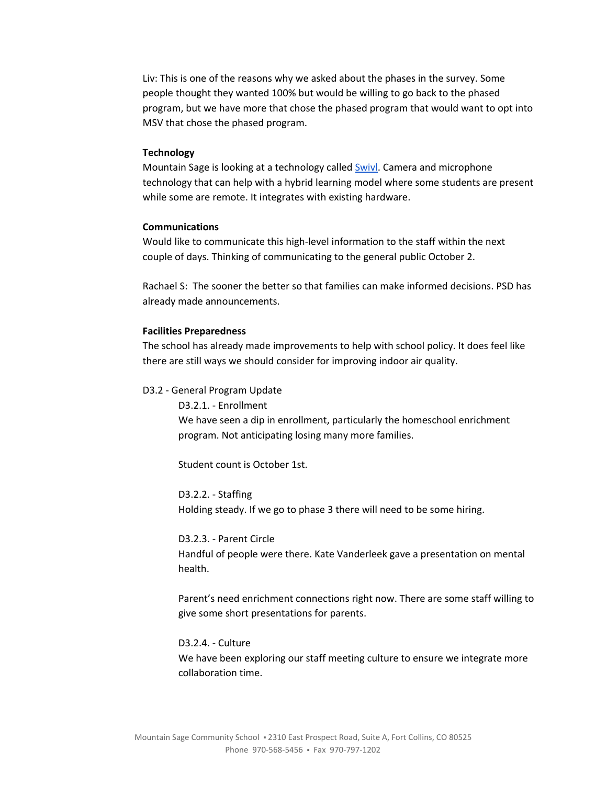Liv: This is one of the reasons why we asked about the phases in the survey. Some people thought they wanted 100% but would be willing to go back to the phased program, but we have more that chose the phased program that would want to opt into MSV that chose the phased program.

## **Technology**

Mountain Sage is looking at a technology called **[Swivl](https://www.swivl.com/)**. Camera and microphone technology that can help with a hybrid learning model where some students are present while some are remote. It integrates with existing hardware.

### **Communications**

Would like to communicate this high-level information to the staff within the next couple of days. Thinking of communicating to the general public October 2.

Rachael S: The sooner the better so that families can make informed decisions. PSD has already made announcements.

#### **Facilities Preparedness**

The school has already made improvements to help with school policy. It does feel like there are still ways we should consider for improving indoor air quality.

#### D3.2 - General Program Update

D3.2.1. - Enrollment We have seen a dip in enrollment, particularly the homeschool enrichment program. Not anticipating losing many more families.

Student count is October 1st.

D3.2.2. - Staffing Holding steady. If we go to phase 3 there will need to be some hiring.

D3.2.3. - Parent Circle Handful of people were there. Kate Vanderleek gave a presentation on mental health.

Parent's need enrichment connections right now. There are some staff willing to give some short presentations for parents.

D3.2.4. - Culture We have been exploring our staff meeting culture to ensure we integrate more collaboration time.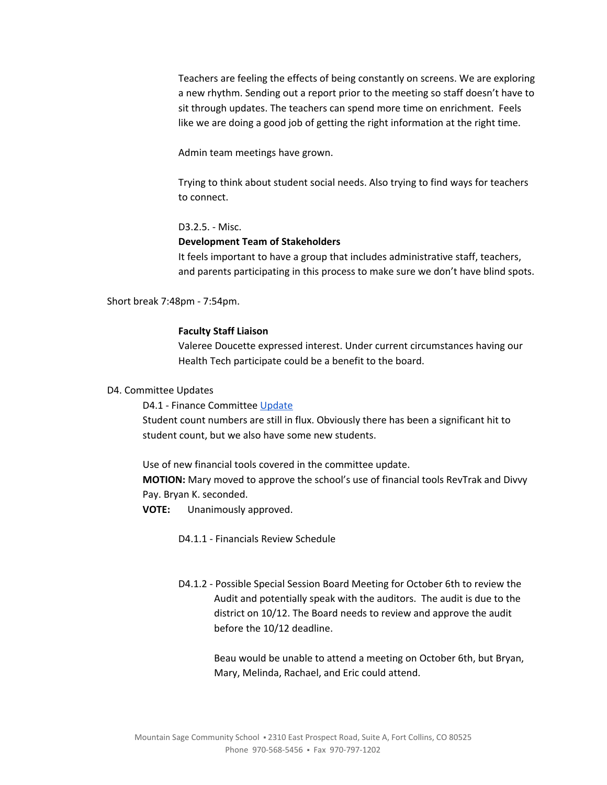Teachers are feeling the effects of being constantly on screens. We are exploring a new rhythm. Sending out a report prior to the meeting so staff doesn't have to sit through updates. The teachers can spend more time on enrichment. Feels like we are doing a good job of getting the right information at the right time.

Admin team meetings have grown.

Trying to think about student social needs. Also trying to find ways for teachers to connect.

D3.2.5. - Misc.

### **Development Team of Stakeholders**

It feels important to have a group that includes administrative staff, teachers, and parents participating in this process to make sure we don't have blind spots.

Short break 7:48pm - 7:54pm.

### **Faculty Staff Liaison**

Valeree Doucette expressed interest. Under current circumstances having our Health Tech participate could be a benefit to the board.

### D4. Committee Updates

D4.1 - Finance Committee [Update](https://docs.google.com/document/d/1DgQJiCCj277N2raKNXrHRpw58jvjEjFpkLvW45vW-IA)

Student count numbers are still in flux. Obviously there has been a significant hit to student count, but we also have some new students.

Use of new financial tools covered in the committee update.

**MOTION:** Mary moved to approve the school's use of financial tools RevTrak and Divvy Pay. Bryan K. seconded.

**VOTE:** Unanimously approved.

D4.1.1 - Financials Review Schedule

D4.1.2 - Possible Special Session Board Meeting for October 6th to review the Audit and potentially speak with the auditors. The audit is due to the district on 10/12. The Board needs to review and approve the audit before the 10/12 deadline.

> Beau would be unable to attend a meeting on October 6th, but Bryan, Mary, Melinda, Rachael, and Eric could attend.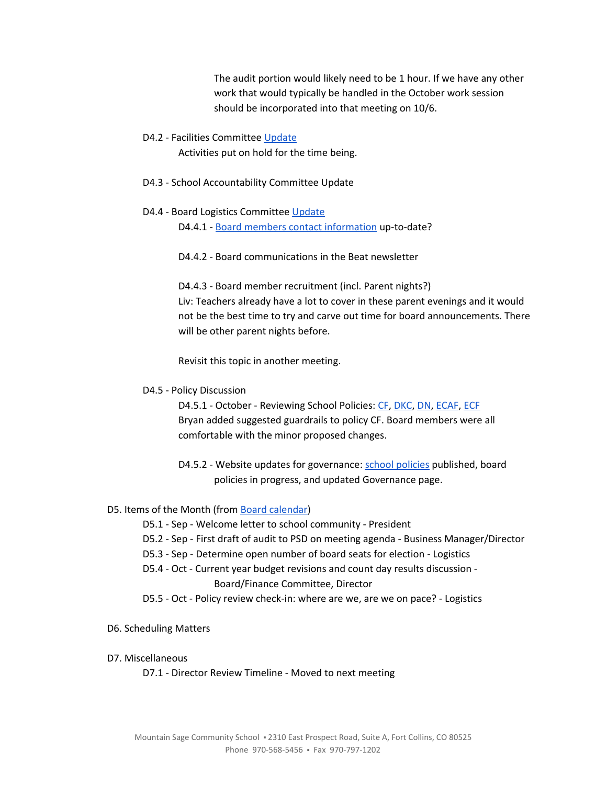The audit portion would likely need to be 1 hour. If we have any other work that would typically be handled in the October work session should be incorporated into that meeting on 10/6.

### D4.2 - Facilities Committee [Update](https://docs.google.com/document/d/1t_PYsjHj-ruXudKataZK2ybJkQVebEsPieLKdYL7DyM)

Activities put on hold for the time being.

- D4.3 School Accountability Committee Update
- D4.4 Board Logistics Committee [Update](https://docs.google.com/document/d/1JfEcGYIMrqGmkwi1sJ11Y9QZgSiQ4PtdBicVtp93N30)

D4.4.1 - Board members contact [information](https://docs.google.com/spreadsheets/d/1JMx7n0mobK7MQZG2Fxwi_Uptk6kkvUmtb7znG1WzC4A) up-to-date?

D4.4.2 - Board communications in the Beat newsletter

D4.4.3 - Board member recruitment (incl. Parent nights?) Liv: Teachers already have a lot to cover in these parent evenings and it would not be the best time to try and carve out time for board announcements. There will be other parent nights before.

Revisit this topic in another meeting.

## D4.5 - Policy Discussion

D4.5.1 - October - Reviewing School Policies: [CF](https://drive.google.com/open?id=1Xxv2T6bQArqSfjBd4NWvmduf7cER1CPDxfaR-UgM4ik), [DKC,](https://drive.google.com/open?id=1t0zO6vXC_h3G_EcJu1UZNcMRi75sEiSqoDYrBq8SVq4) [DN,](https://drive.google.com/open?id=1W_coSYJPuJFNflUq1nr7XwSFfWkJpxueVx3ZhXcEjnM) [ECAF,](https://drive.google.com/open?id=1rjyKgycftkPXRhtKFf8xLejHk6rv8R-17ZC49EzO8YA) [ECF](https://drive.google.com/open?id=1Knkhdx0RQRhYofki-GwUS_0kGYD8ZsWaihOwWxrccWA) Bryan added suggested guardrails to policy CF. Board members were all comfortable with the minor proposed changes.

D4.5.2 - Website updates for governance: school [policies](https://www.mountainsage.org/school-policies/) published, board policies in progress, and updated Governance page.

# D5. Items of the Month (from Board [calendar](https://docs.google.com/document/d/12S6s-qevYMsnj8Cr2yw6uMO7S7hL3gz2oKvXZk5ZndQ/edit?usp=sharing))

D5.1 - Sep - Welcome letter to school community - President

- D5.2 Sep First draft of audit to PSD on meeting agenda Business Manager/Director
- D5.3 Sep Determine open number of board seats for election Logistics
- D5.4 Oct Current year budget revisions and count day results discussion Board/Finance Committee, Director
- D5.5 Oct Policy review check-in: where are we, are we on pace? Logistics
- D6. Scheduling Matters

# D7. Miscellaneous

D7.1 - Director Review Timeline - Moved to next meeting